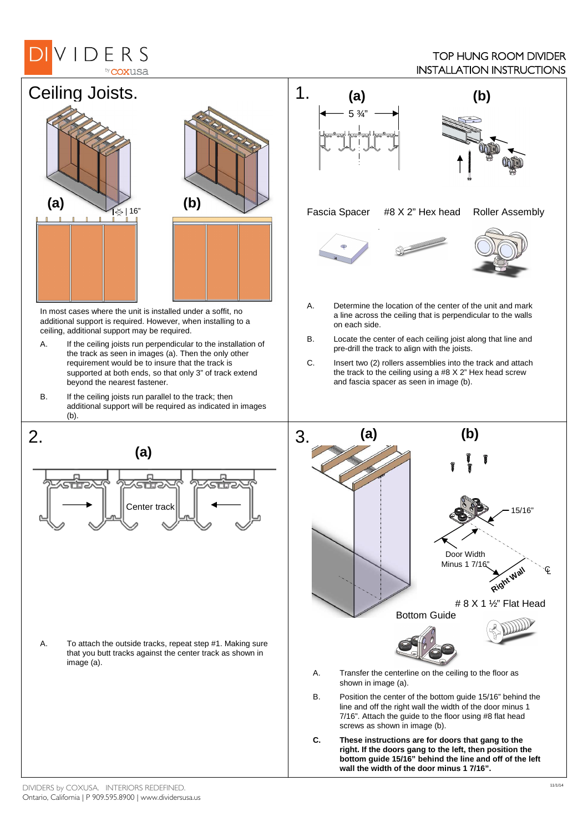## VIDERS by **COXUSA**

## TOP HUNG ROOM DIVIDER INSTALLATION INSTRUCTIONS